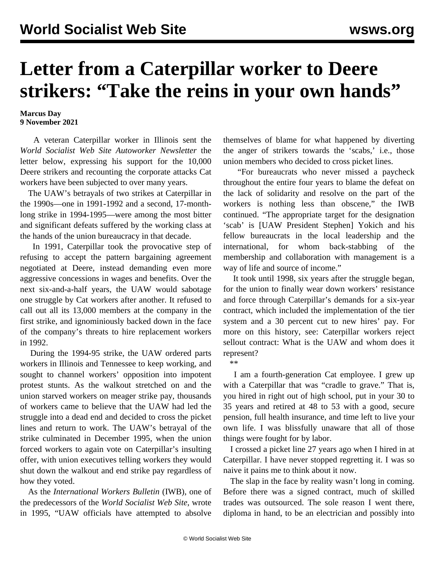## **Letter from a Caterpillar worker to Deere strikers: "Take the reins in your own hands"**

## **Marcus Day 9 November 2021**

 A veteran Caterpillar worker in Illinois sent the *World Socialist Web Site Autoworker Newsletter* the letter below, expressing his support for the 10,000 Deere strikers and recounting the corporate attacks Cat workers have been subjected to over many years.

 The UAW's betrayals of two strikes at Caterpillar in the 1990s—one in 1991-1992 and a second, 17-monthlong strike in 1994-1995—were among the most bitter and significant defeats suffered by the working class at the hands of the union bureaucracy in that decade.

 In 1991, Caterpillar took the provocative step of refusing to accept the pattern bargaining agreement negotiated at Deere, instead demanding even more aggressive concessions in wages and benefits. Over the next six-and-a-half years, the UAW would sabotage one struggle by Cat workers after another. It refused to call out all its 13,000 members at the company in the first strike, and ignominiously backed down in the face of the company's threats to hire replacement workers in 1992.

 During the 1994-95 strike, the UAW ordered parts workers in Illinois and Tennessee to keep working, and sought to channel workers' opposition into impotent protest stunts. As the walkout stretched on and the union starved workers on meager strike pay, thousands of workers came to believe that the UAW had led the struggle into a dead end and decided to cross the picket lines and return to work. The UAW's betrayal of the strike culminated in December 1995, when the union forced workers to again vote on Caterpillar's insulting offer, with union executives telling workers they would shut down the walkout and end strike pay regardless of how they voted.

 As the *International Workers Bulletin* (IWB), one of the predecessors of the *World Socialist Web Site*, wrote in 1995, "UAW officials have attempted to absolve

themselves of blame for what happened by diverting the anger of strikers towards the 'scabs,' i.e., those union members who decided to cross picket lines.

 "For bureaucrats who never missed a paycheck throughout the entire four years to blame the defeat on the lack of solidarity and resolve on the part of the workers is nothing less than obscene," the IWB continued. "The appropriate target for the designation 'scab' is [UAW President Stephen] Yokich and his fellow bureaucrats in the local leadership and the international, for whom back-stabbing of the membership and collaboration with management is a way of life and source of income."

 It took until 1998, six years after the struggle began, for the union to finally wear down workers' resistance and force through Caterpillar's demands for a six-year contract, which included the implementation of the tier system and a 30 percent cut to new hires' pay. For more on this history, see: [Caterpillar workers reject](/en/articles/1998/02/uawc-f25.html) [sellout contract: What is the UAW and whom does it](/en/articles/1998/02/uawc-f25.html) [represent?](/en/articles/1998/02/uawc-f25.html)

\*\*

 I am a fourth-generation Cat employee. I grew up with a Caterpillar that was "cradle to grave." That is, you hired in right out of high school, put in your 30 to 35 years and retired at 48 to 53 with a good, secure pension, full health insurance, and time left to live your own life. I was blissfully unaware that all of those things were fought for by labor.

 I crossed a picket line 27 years ago when I hired in at Caterpillar. I have never stopped regretting it. I was so naive it pains me to think about it now.

 The slap in the face by reality wasn't long in coming. Before there was a signed contract, much of skilled trades was outsourced. The sole reason I went there, diploma in hand, to be an electrician and possibly into